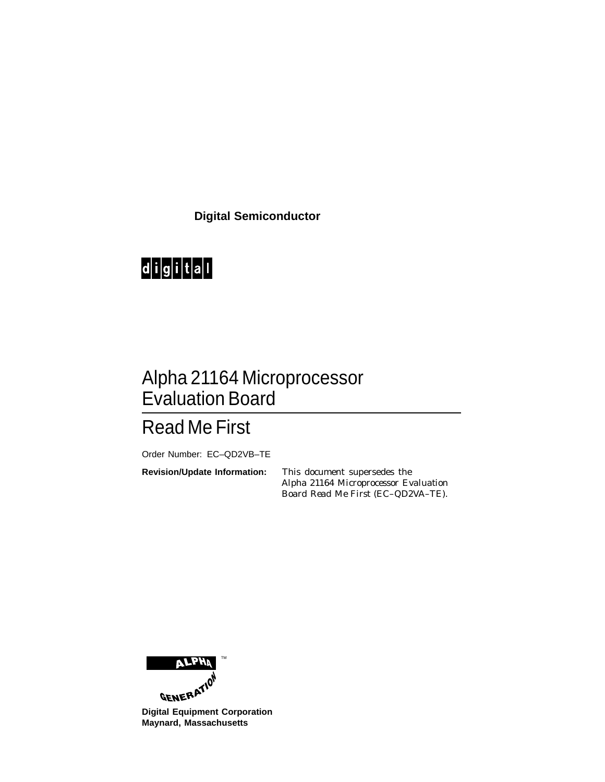**Digital Semiconductor**



# Alpha 21164 Microprocessor Evaluation Board

# Read Me First

Order Number: EC–QD2VB–TE

**Revision/Update Information:** This document supersedes the *Alpha 21164 Microprocessor Evaluation Board Read Me First* (EC–QD2VA–TE).



**Maynard, Massachusetts**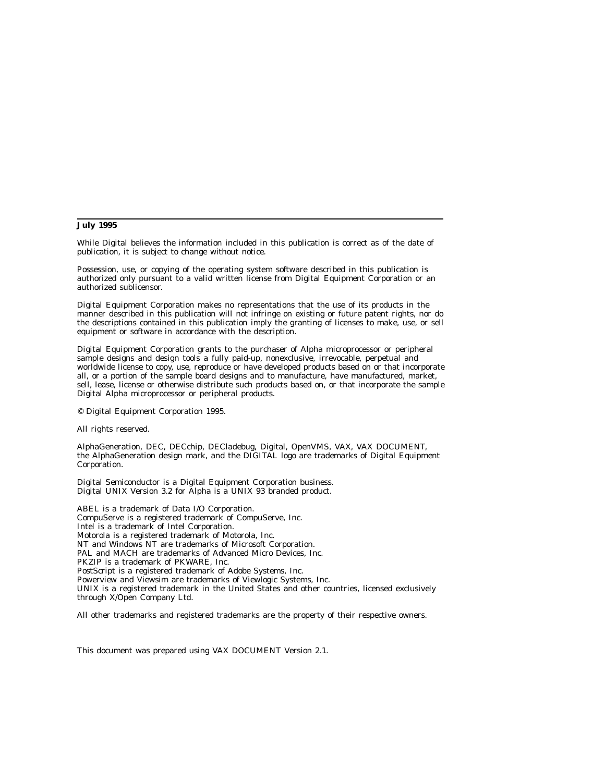#### **July 1995**

While Digital believes the information included in this publication is correct as of the date of publication, it is subject to change without notice.

Possession, use, or copying of the operating system software described in this publication is authorized only pursuant to a valid written license from Digital Equipment Corporation or an authorized sublicensor.

Digital Equipment Corporation makes no representations that the use of its products in the manner described in this publication will not infringe on existing or future patent rights, nor do the descriptions contained in this publication imply the granting of licenses to make, use, or sell equipment or software in accordance with the description.

Digital Equipment Corporation grants to the purchaser of Alpha microprocessor or peripheral sample designs and design tools a fully paid-up, nonexclusive, irrevocable, perpetual and worldwide license to copy, use, reproduce or have developed products based on or that incorporate all, or a portion of the sample board designs and to manufacture, have manufactured, market, sell, lease, license or otherwise distribute such products based on, or that incorporate the sample Digital Alpha microprocessor or peripheral products.

© Digital Equipment Corporation 1995.

All rights reserved.

AlphaGeneration, DEC, DECchip, DECladebug, Digital, OpenVMS, VAX, VAX DOCUMENT, the AlphaGeneration design mark, and the DIGITAL logo are trademarks of Digital Equipment Corporation.

Digital Semiconductor is a Digital Equipment Corporation business. Digital UNIX Version 3.2 for Alpha is a UNIX 93 branded product.

ABEL is a trademark of Data I/O Corporation. CompuServe is a registered trademark of CompuServe, Inc. Intel is a trademark of Intel Corporation. Motorola is a registered trademark of Motorola, Inc. NT and Windows NT are trademarks of Microsoft Corporation. PAL and MACH are trademarks of Advanced Micro Devices, Inc. PKZIP is a trademark of PKWARE, Inc. PostScript is a registered trademark of Adobe Systems, Inc. Powerview and Viewsim are trademarks of Viewlogic Systems, Inc. UNIX is a registered trademark in the United States and other countries, licensed exclusively through X/Open Company Ltd.

All other trademarks and registered trademarks are the property of their respective owners.

This document was prepared using VAX DOCUMENT Version 2.1.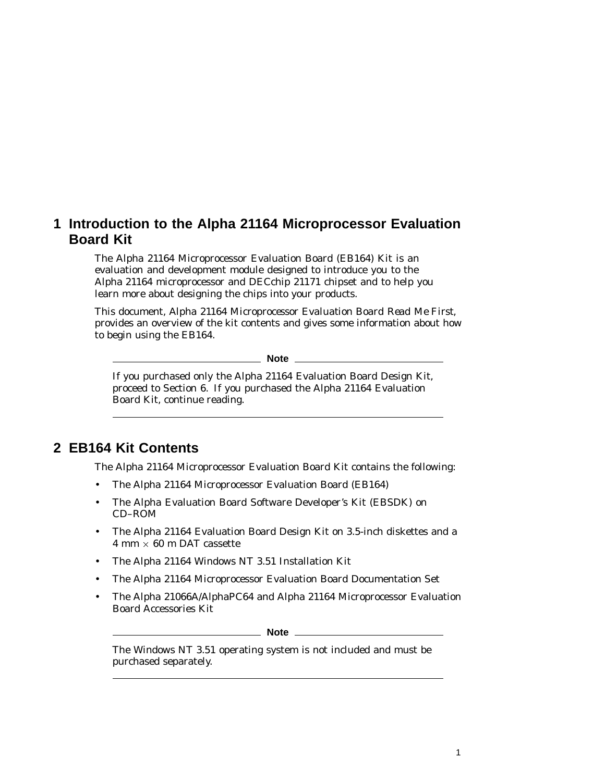## **1 Introduction to the Alpha 21164 Microprocessor Evaluation Board Kit**

The Alpha 21164 Microprocessor Evaluation Board (EB164) Kit is an evaluation and development module designed to introduce you to the Alpha 21164 microprocessor and DECchip 21171 chipset and to help you learn more about designing the chips into your products.

This document, *Alpha 21164 Microprocessor Evaluation Board Read Me First*, provides an overview of the kit contents and gives some information about how to begin using the EB164.

**Note** 2008

If you purchased only the Alpha 21164 Evaluation Board Design Kit, proceed to Section 6. If you purchased the Alpha 21164 Evaluation Board Kit, continue reading.

## **2 EB164 Kit Contents**

The Alpha 21164 Microprocessor Evaluation Board Kit contains the following:

- The Alpha 21164 Microprocessor Evaluation Board (EB164)
- The Alpha Evaluation Board Software Developer's Kit (EBSDK) on CD–ROM
- The Alpha 21164 Evaluation Board Design Kit on 3.5-inch diskettes and a  $4 \text{ mm} \times 60 \text{ m }$  DAT cassette
- The Alpha 21164 Windows NT 3.51 Installation Kit
- The Alpha 21164 Microprocessor Evaluation Board Documentation Set
- The Alpha 21066A/AlphaPC64 and Alpha 21164 Microprocessor Evaluation Board Accessories Kit

**Note** \_\_\_\_\_\_\_\_

The Windows NT 3.51 operating system is not included and must be purchased separately.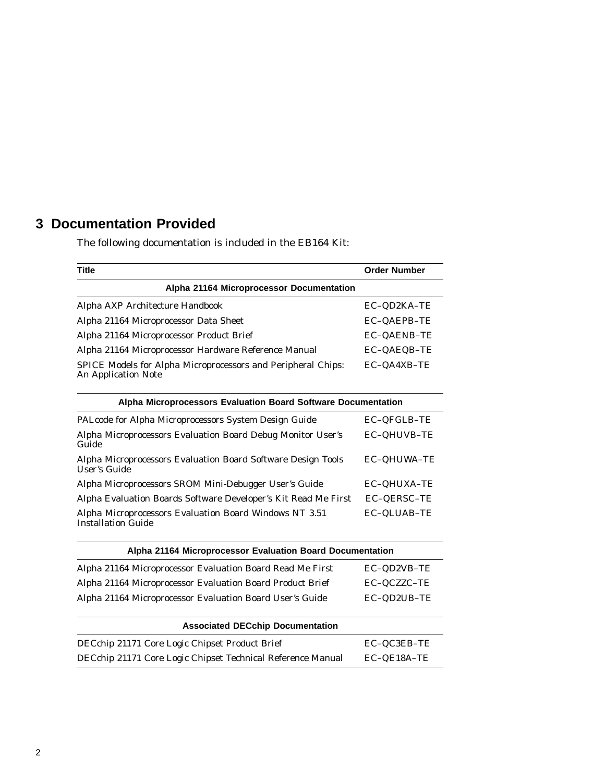# **3 Documentation Provided**

The following documentation is included in the EB164 Kit:

| <b>Title</b>                                                                               | <b>Order Number</b> |
|--------------------------------------------------------------------------------------------|---------------------|
| Alpha 21164 Microprocessor Documentation                                                   |                     |
| Alpha AXP Architecture Handbook                                                            | EC-QD2KA-TE         |
| Alpha 21164 Microprocessor Data Sheet                                                      | <b>EC-QAEPB-TE</b>  |
| Alpha 21164 Microprocessor Product Brief                                                   | <b>EC-QAENB-TE</b>  |
| Alpha 21164 Microprocessor Hardware Reference Manual                                       | EC-QAEQB-TE         |
| SPICE Models for Alpha Microprocessors and Peripheral Chips:<br><b>An Application Note</b> | EC-QA4XB-TE         |

| Alpha Microprocessors Evaluation Board Software Documentation                       |                    |  |
|-------------------------------------------------------------------------------------|--------------------|--|
| PALcode for Alpha Microprocessors System Design Guide                               | EC-QFGLB-TE        |  |
| Alpha Microprocessors Evaluation Board Debug Monitor User's<br>Guide                | EC-QHUVB-TE        |  |
| Alpha Microprocessors Evaluation Board Software Design Tools<br>User's Guide        | <b>EC-QHUWA-TE</b> |  |
| Alpha Microprocessors SROM Mini-Debugger User's Guide                               | <b>EC-QHUXA-TE</b> |  |
| Alpha Evaluation Boards Software Developer's Kit Read Me First                      | <b>EC-QERSC-TE</b> |  |
| Alpha Microprocessors Evaluation Board Windows NT 3.51<br><b>Installation Guide</b> | EC-QLUAB-TE        |  |

| Alpha 21164 Microprocessor Evaluation Board Documentation |             |
|-----------------------------------------------------------|-------------|
| Alpha 21164 Microprocessor Evaluation Board Read Me First | EC-QD2VB-TE |
| Alpha 21164 Microprocessor Evaluation Board Product Brief | EC-QCZZC-TE |
| Alpha 21164 Microprocessor Evaluation Board User's Guide  | EC-OD2UB-TE |

| <b>Associated DECchip Documentation</b>                     |               |
|-------------------------------------------------------------|---------------|
| DECchip 21171 Core Logic Chipset Product Brief              | EC-OC3EB-TE   |
| DECchip 21171 Core Logic Chipset Technical Reference Manual | $EC-OE18A-TE$ |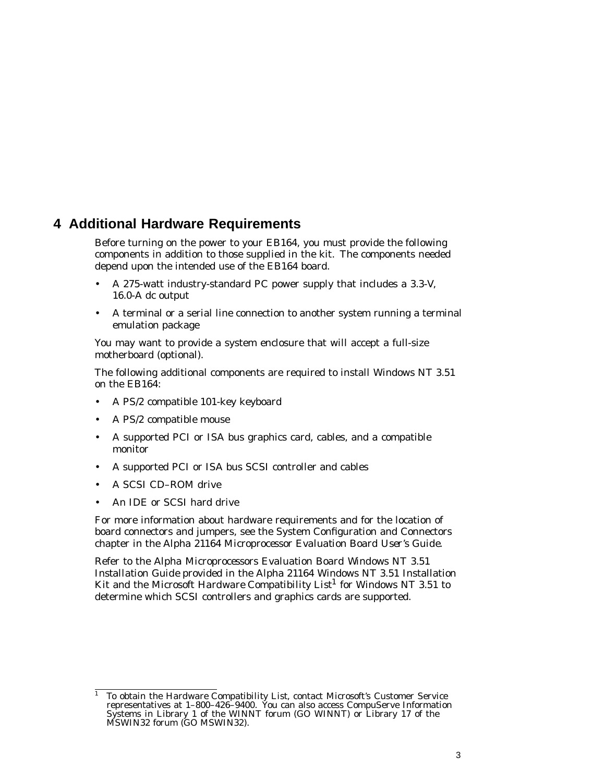### **4 Additional Hardware Requirements**

Before turning on the power to your EB164, you must provide the following components in addition to those supplied in the kit. The components needed depend upon the intended use of the EB164 board.

- A 275-watt industry-standard PC power supply that includes a 3.3-V, 16.0-A dc output
- A terminal or a serial line connection to another system running a terminal emulation package

You may want to provide a system enclosure that will accept a full-size motherboard (optional).

The following additional components are required to install Windows NT 3.51 on the EB164:

- A PS/2 compatible 101-key keyboard
- A PS/2 compatible mouse
- A supported PCI or ISA bus graphics card, cables, and a compatible monitor
- A supported PCI or ISA bus SCSI controller and cables
- A SCSI CD–ROM drive
- An IDE or SCSI hard drive

For more information about hardware requirements and for the location of board connectors and jumpers, see the System Configuration and Connectors chapter in the *Alpha 21164 Microprocessor Evaluation Board User's Guide*.

Refer to the *Alpha Microprocessors Evaluation Board Windows NT 3.51 Installation Guide* provided in the Alpha 21164 Windows NT 3.51 Installation Kit and the Microsoft *Hardware Compatibility List*<sup>1</sup> for Windows NT 3.51 to determine which SCSI controllers and graphics cards are supported.

<sup>&</sup>lt;sup>1</sup> To obtain the *Hardware Compatibility List*, contact Microsoft's Customer Service representatives at 1–800–426–9400. You can also access CompuServe Information Systems in Library 1 of the WINNT forum (GO WINNT) or Library 17 of the MSWIN32 forum (GO MSWIN32).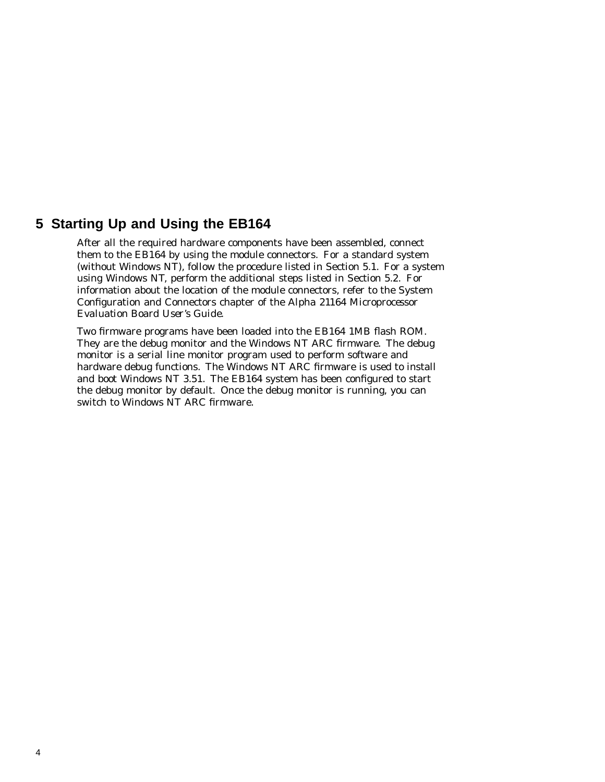### **5 Starting Up and Using the EB164**

After all the required hardware components have been assembled, connect them to the EB164 by using the module connectors. For a standard system (without Windows NT), follow the procedure listed in Section 5.1. For a system using Windows NT, perform the additional steps listed in Section 5.2. For information about the location of the module connectors, refer to the System Configuration and Connectors chapter of the *Alpha 21164 Microprocessor Evaluation Board User's Guide*.

Two firmware programs have been loaded into the EB164 1MB flash ROM. They are the debug monitor and the Windows NT ARC firmware. The debug monitor is a serial line monitor program used to perform software and hardware debug functions. The Windows NT ARC firmware is used to install and boot Windows NT 3.51. The EB164 system has been configured to start the debug monitor by default. Once the debug monitor is running, you can switch to Windows NT ARC firmware.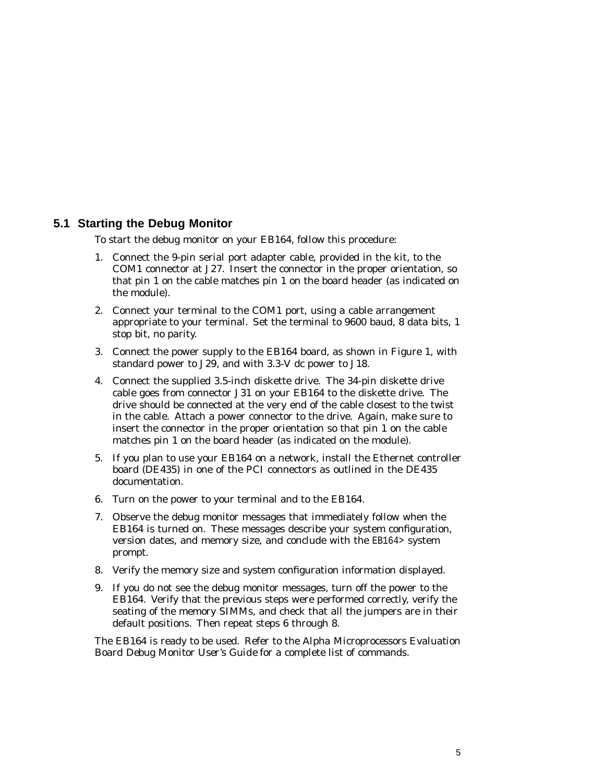### **5.1 Starting the Debug Monitor**

To start the debug monitor on your EB164, follow this procedure:

- 1. Connect the 9-pin serial port adapter cable, provided in the kit, to the COM1 connector at J27. Insert the connector in the proper orientation, so that pin 1 on the cable matches pin 1 on the board header (as indicated on the module).
- 2. Connect your terminal to the COM1 port, using a cable arrangement appropriate to your terminal. Set the terminal to 9600 baud, 8 data bits, 1 stop bit, no parity.
- 3. Connect the power supply to the EB164 board, as shown in Figure 1, with standard power to J29, and with 3.3-V dc power to J18.
- 4. Connect the supplied 3.5-inch diskette drive. The 34-pin diskette drive cable goes from connector J31 on your EB164 to the diskette drive. The drive should be connected at the very end of the cable closest to the twist in the cable. Attach a power connector to the drive. Again, make sure to insert the connector in the proper orientation so that pin 1 on the cable matches pin 1 on the board header (as indicated on the module).
- 5. If you plan to use your EB164 on a network, install the Ethernet controller board (DE435) in one of the PCI connectors as outlined in the DE435 documentation.
- 6. Turn on the power to your terminal and to the EB164.
- 7. Observe the debug monitor messages that immediately follow when the EB164 is turned on. These messages describe your system configuration, version dates, and memory size, and conclude with the EB164> system prompt.
- 8. Verify the memory size and system configuration information displayed.
- 9. If you do not see the debug monitor messages, turn off the power to the EB164. Verify that the previous steps were performed correctly, verify the seating of the memory SIMMs, and check that all the jumpers are in their default positions. Then repeat steps 6 through 8.

The EB164 is ready to be used. Refer to the *Alpha Microprocessors Evaluation Board Debug Monitor User's Guide* for a complete list of commands.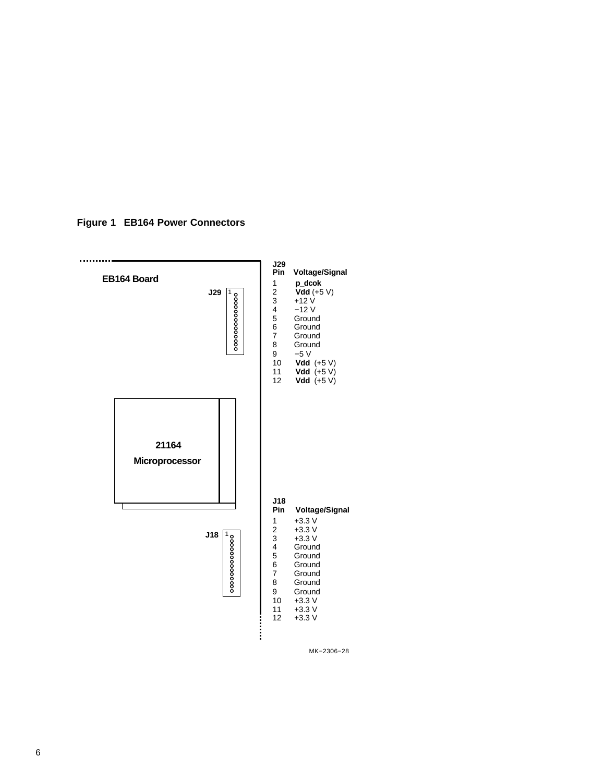**Figure 1 EB164 Power Connectors**



MK−2306−28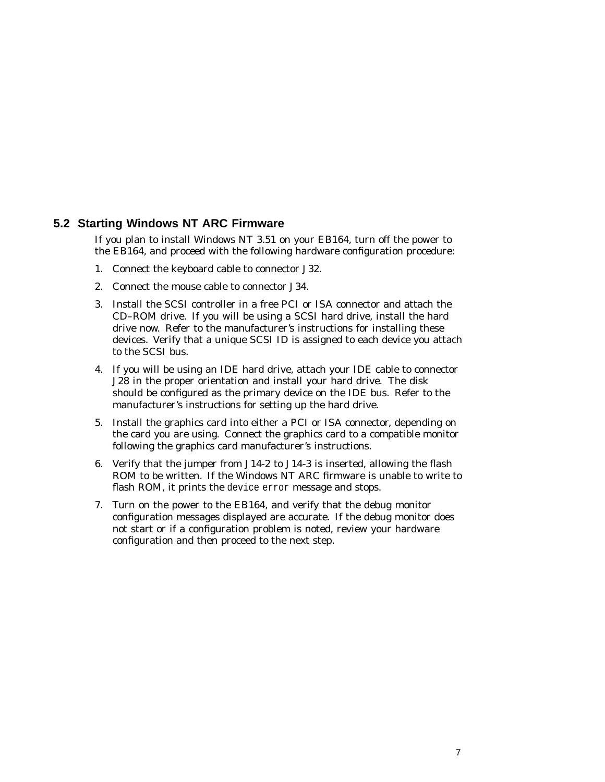### **5.2 Starting Windows NT ARC Firmware**

If you plan to install Windows NT 3.51 on your EB164, turn off the power to the EB164, and proceed with the following hardware configuration procedure:

- 1. Connect the keyboard cable to connector J32.
- 2. Connect the mouse cable to connector J34.
- 3. Install the SCSI controller in a free PCI or ISA connector and attach the CD–ROM drive. If you will be using a SCSI hard drive, install the hard drive now. Refer to the manufacturer's instructions for installing these devices. Verify that a unique SCSI ID is assigned to each device you attach to the SCSI bus.
- 4. If you will be using an IDE hard drive, attach your IDE cable to connector J28 in the proper orientation and install your hard drive. The disk should be configured as the primary device on the IDE bus. Refer to the manufacturer's instructions for setting up the hard drive.
- 5. Install the graphics card into either a PCI or ISA connector, depending on the card you are using. Connect the graphics card to a compatible monitor following the graphics card manufacturer's instructions.
- 6. Verify that the jumper from J14-2 to J14-3 is inserted, allowing the flash ROM to be written. If the Windows NT ARC firmware is unable to write to flash ROM, it prints the device error message and stops.
- 7. Turn on the power to the EB164, and verify that the debug monitor configuration messages displayed are accurate. If the debug monitor does not start or if a configuration problem is noted, review your hardware configuration and then proceed to the next step.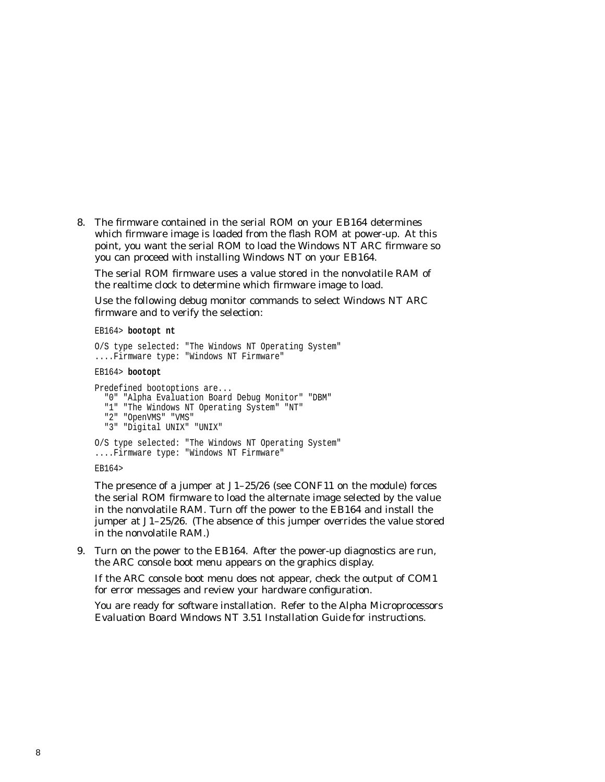8. The firmware contained in the serial ROM on your EB164 determines which firmware image is loaded from the flash ROM at power-up. At this point, you want the serial ROM to load the Windows NT ARC firmware so you can proceed with installing Windows NT on your EB164.

The serial ROM firmware uses a value stored in the nonvolatile RAM of the realtime clock to determine which firmware image to load.

Use the following debug monitor commands to select Windows NT ARC firmware and to verify the selection:

EB164> **bootopt nt**

```
O/S type selected: "The Windows NT Operating System"
....Firmware type: "Windows NT Firmware"
```
#### EB164> **bootopt**

```
Predefined bootoptions are...
  "0" "Alpha Evaluation Board Debug Monitor" "DBM"
  "1" "The Windows NT Operating System" "NT"
  "2" "OpenVMS" "VMS"
  "3" "Digital UNIX" "UNIX"
O/S type selected: "The Windows NT Operating System"
....Firmware type: "Windows NT Firmware"
EB164>
```
The presence of a jumper at J1–25/26 (see CONF11 on the module) forces the serial ROM firmware to load the alternate image selected by the value in the nonvolatile RAM. Turn off the power to the EB164 and install the jumper at J1–25/26. (The absence of this jumper overrides the value stored in the nonvolatile RAM.)

9. Turn on the power to the EB164. After the power-up diagnostics are run, the ARC console boot menu appears on the graphics display.

If the ARC console boot menu does not appear, check the output of COM1 for error messages and review your hardware configuration.

You are ready for software installation. Refer to the *Alpha Microprocessors Evaluation Board Windows NT 3.51 Installation Guide* for instructions.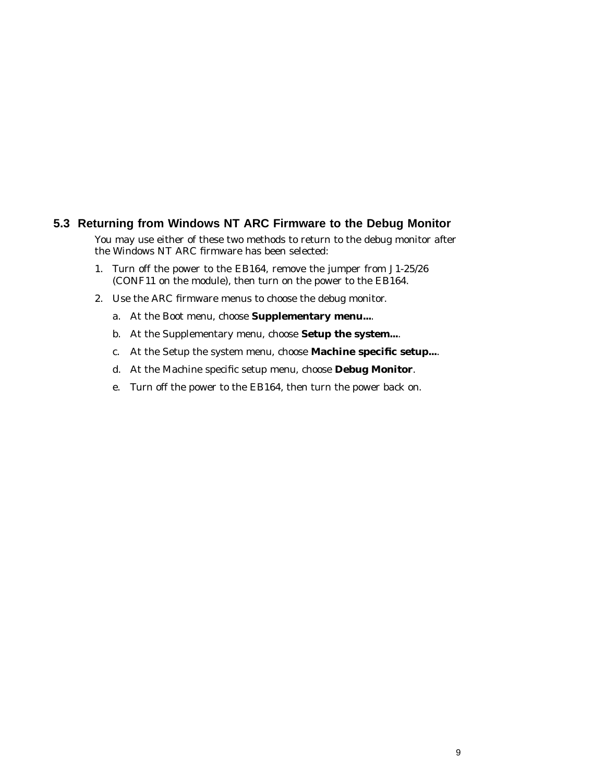### **5.3 Returning from Windows NT ARC Firmware to the Debug Monitor**

You may use either of these two methods to return to the debug monitor after the Windows NT ARC firmware has been selected:

- 1. Turn off the power to the EB164, remove the jumper from J1-25/26 (CONF11 on the module), then turn on the power to the EB164.
- 2. Use the ARC firmware menus to choose the debug monitor.
	- a. At the Boot menu, choose **Supplementary menu...**.
	- b. At the Supplementary menu, choose **Setup the system...**.
	- c. At the Setup the system menu, choose **Machine specific setup...**.
	- d. At the Machine specific setup menu, choose **Debug Monitor**.
	- e. Turn off the power to the EB164, then turn the power back on.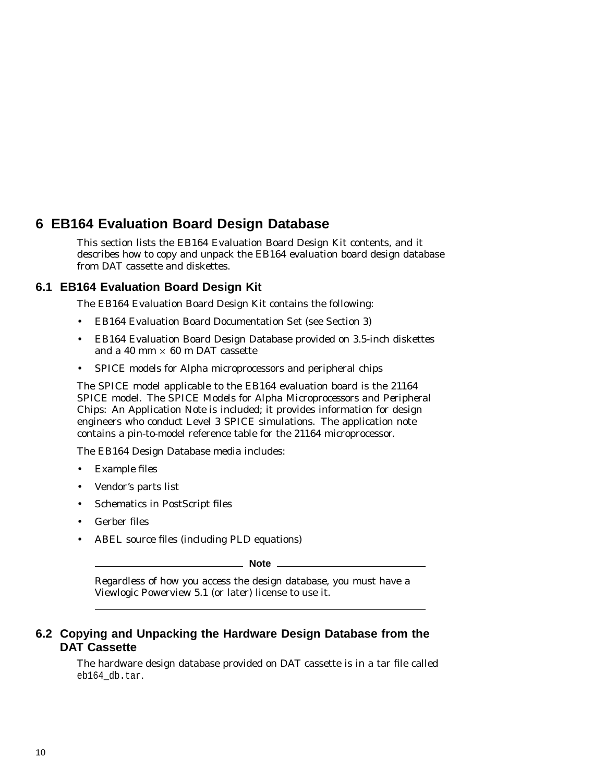# **6 EB164 Evaluation Board Design Database**

This section lists the EB164 Evaluation Board Design Kit contents, and it describes how to copy and unpack the EB164 evaluation board design database from DAT cassette and diskettes.

### **6.1 EB164 Evaluation Board Design Kit**

The EB164 Evaluation Board Design Kit contains the following:

- EB164 Evaluation Board Documentation Set (see Section 3)
- EB164 Evaluation Board Design Database provided on 3.5-inch diskettes and a 40 mm  $\times$  60 m DAT cassette
- SPICE models for Alpha microprocessors and peripheral chips

The SPICE model applicable to the EB164 evaluation board is the 21164 SPICE model. The *SPICE Models for Alpha Microprocessors and Peripheral Chips: An Application Note* is included; it provides information for design engineers who conduct Level 3 SPICE simulations. The application note contains a pin-to-model reference table for the 21164 microprocessor.

The EB164 Design Database media includes:

- Example files
- Vendor's parts list
- Schematics in PostScript files
- Gerber files
- ABEL source files (including PLD equations)

**Note**

Regardless of how you access the design database, you must have a Viewlogic Powerview 5.1 (or later) license to use it.

### **6.2 Copying and Unpacking the Hardware Design Database from the DAT Cassette**

The hardware design database provided on DAT cassette is in a tar file called eb164\_db.tar.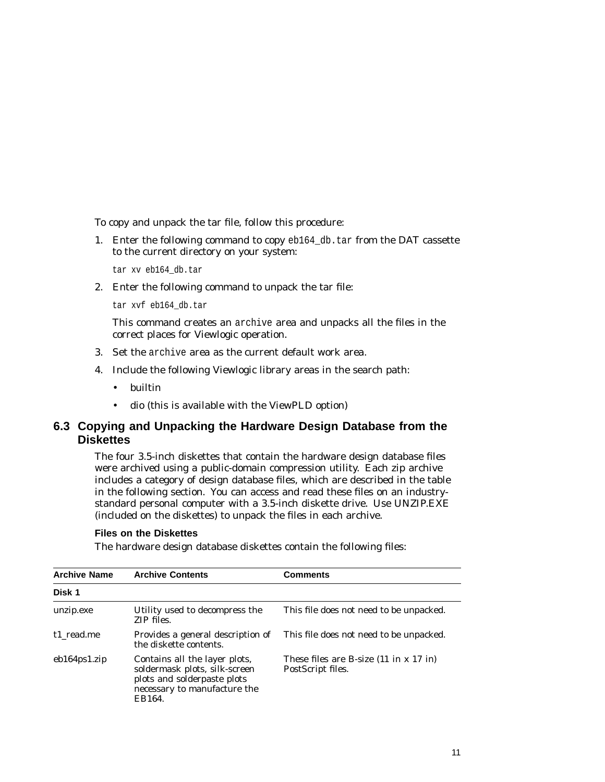To copy and unpack the tar file, follow this procedure:

1. Enter the following command to copy eb164\_db.tar from the DAT cassette to the current directory on your system:

tar xv eb164\_db.tar

2. Enter the following command to unpack the tar file:

tar xvf eb164\_db.tar

This command creates an archive area and unpacks all the files in the correct places for Viewlogic operation.

- 3. Set the archive area as the current default work area.
- 4. Include the following Viewlogic library areas in the search path:
	- builtin
	- dio (this is available with the ViewPLD option)

### **6.3 Copying and Unpacking the Hardware Design Database from the Diskettes**

The four 3.5-inch diskettes that contain the hardware design database files were archived using a public-domain compression utility. Each zip archive includes a category of design database files, which are described in the table in the following section. You can access and read these files on an industrystandard personal computer with a 3.5-inch diskette drive. Use UNZIP.EXE (included on the diskettes) to unpack the files in each archive.

#### **Files on the Diskettes**

The hardware design database diskettes contain the following files:

| <b>Archive Name</b> | <b>Archive Contents</b>                                                                                                                 | <b>Comments</b>                                                                  |
|---------------------|-----------------------------------------------------------------------------------------------------------------------------------------|----------------------------------------------------------------------------------|
| Disk 1              |                                                                                                                                         |                                                                                  |
| unzip.exe           | Utility used to decompress the<br>ZIP files.                                                                                            | This file does not need to be unpacked.                                          |
| t1 read.me          | Provides a general description of<br>the diskette contents.                                                                             | This file does not need to be unpacked.                                          |
| $eb164$ ps1.zip     | Contains all the layer plots,<br>soldermask plots, silk-screen<br>plots and solderpaste plots<br>necessary to manufacture the<br>EB164. | These files are B-size $(11 \text{ in } x \ 17 \text{ in})$<br>PostScript files. |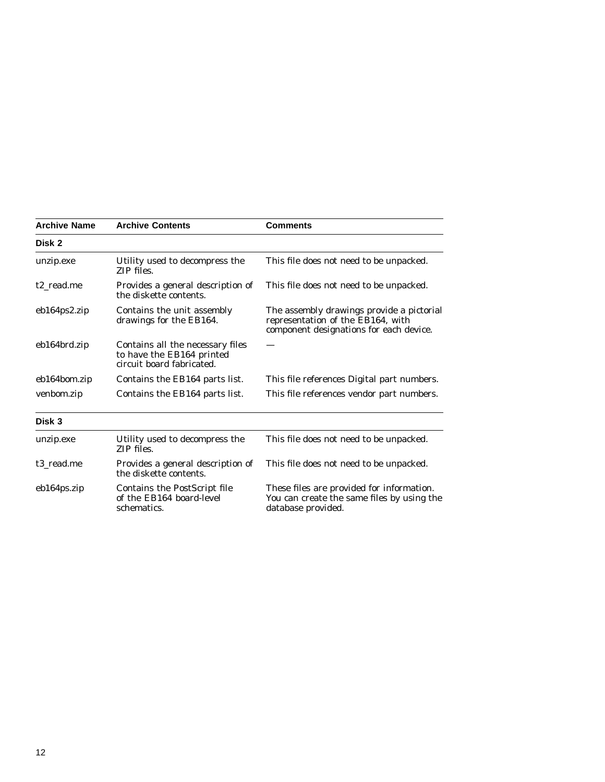| <b>Archive Name</b> | <b>Archive Contents</b>                                                                    | <b>Comments</b>                                                                                                           |
|---------------------|--------------------------------------------------------------------------------------------|---------------------------------------------------------------------------------------------------------------------------|
| Disk 2              |                                                                                            |                                                                                                                           |
| unzip.exe           | Utility used to decompress the<br>ZIP files.                                               | This file does not need to be unpacked.                                                                                   |
| t2_read.me          | Provides a general description of<br>the diskette contents.                                | This file does not need to be unpacked.                                                                                   |
| eb164ps2.zip        | Contains the unit assembly<br>drawings for the EB164.                                      | The assembly drawings provide a pictorial<br>representation of the EB164, with<br>component designations for each device. |
| eb164brd.zip        | Contains all the necessary files<br>to have the EB164 printed<br>circuit board fabricated. |                                                                                                                           |
| eb164bom.zip        | Contains the EB164 parts list.                                                             | This file references Digital part numbers.                                                                                |
| venbom.zip          | Contains the EB164 parts list.                                                             | This file references vendor part numbers.                                                                                 |
| Disk 3              |                                                                                            |                                                                                                                           |
| unzip.exe           | Utility used to decompress the<br>ZIP files.                                               | This file does not need to be unpacked.                                                                                   |
| t3 read.me          | Provides a general description of<br>the diskette contents.                                | This file does not need to be unpacked.                                                                                   |
| eb164ps.zip         | Contains the PostScript file<br>of the EB164 board-level<br>schematics.                    | These files are provided for information.<br>You can create the same files by using the<br>database provided.             |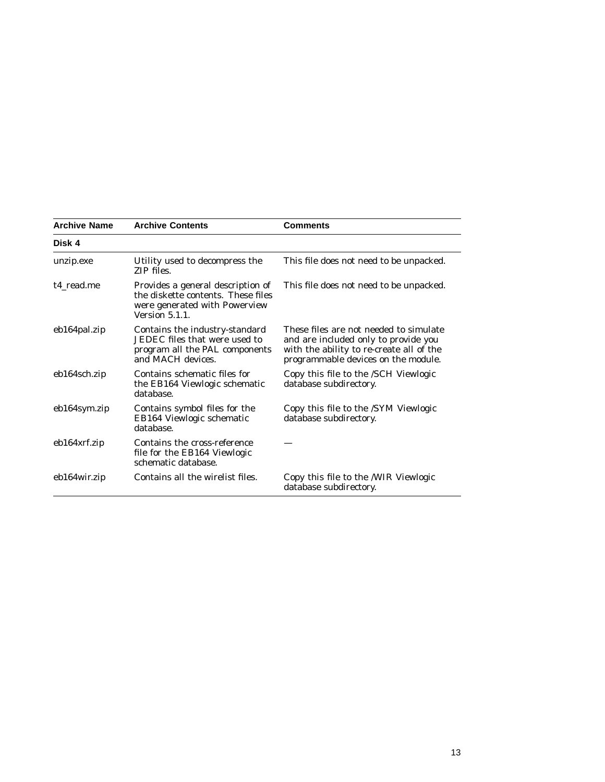| <b>Archive Name</b> | <b>Archive Contents</b>                                                                                                           | <b>Comments</b>                                                                                                                                                   |
|---------------------|-----------------------------------------------------------------------------------------------------------------------------------|-------------------------------------------------------------------------------------------------------------------------------------------------------------------|
| Disk 4              |                                                                                                                                   |                                                                                                                                                                   |
| unzip.exe           | Utility used to decompress the<br>ZIP files.                                                                                      | This file does not need to be unpacked.                                                                                                                           |
| t4 read.me          | Provides a general description of<br>the diskette contents. These files<br>were generated with Powerview<br><b>Version 5.1.1.</b> | This file does not need to be unpacked.                                                                                                                           |
| eb164pal.zip        | Contains the industry-standard<br>JEDEC files that were used to<br>program all the PAL components<br>and MACH devices.            | These files are not needed to simulate<br>and are included only to provide you<br>with the ability to re-create all of the<br>programmable devices on the module. |
| eb164sch.zip        | Contains schematic files for<br>the EB164 Viewlogic schematic<br>database.                                                        | Copy this file to the /SCH Viewlogic<br>database subdirectory.                                                                                                    |
| eb164sym.zip        | Contains symbol files for the<br>EB164 Viewlogic schematic<br>database.                                                           | Copy this file to the /SYM Viewlogic<br>database subdirectory.                                                                                                    |
| eb164xrf.zip        | Contains the cross-reference<br>file for the EB164 Viewlogic<br>schematic database.                                               |                                                                                                                                                                   |
| eb164wir.zip        | Contains all the wirelist files.                                                                                                  | Copy this file to the /WIR Viewlogic<br>database subdirectory.                                                                                                    |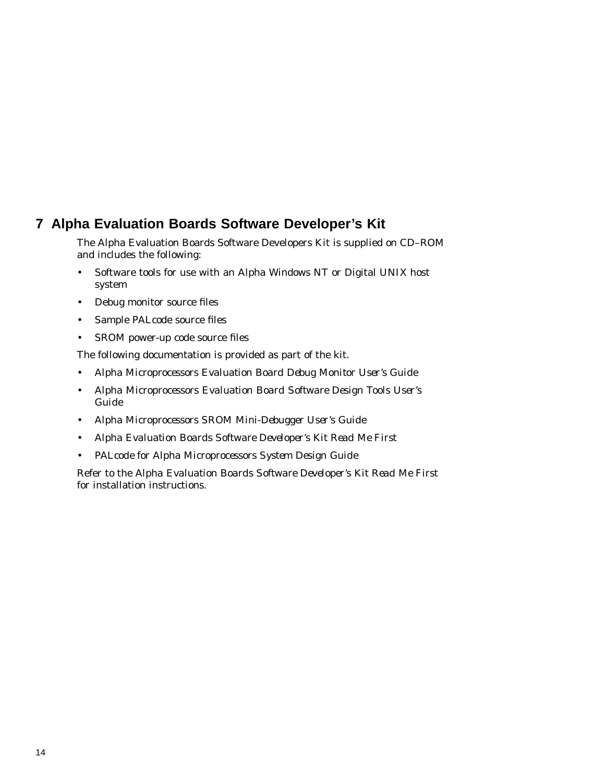# **7 Alpha Evaluation Boards Software Developer's Kit**

The Alpha Evaluation Boards Software Developers Kit is supplied on CD–ROM and includes the following:

- Software tools for use with an Alpha Windows NT or Digital UNIX host system
- Debug monitor source files
- Sample PALcode source files
- SROM power-up code source files

The following documentation is provided as part of the kit.

- *Alpha Microprocessors Evaluation Board Debug Monitor User's Guide*
- *Alpha Microprocessors Evaluation Board Software Design Tools User's Guide*
- *Alpha Microprocessors SROM Mini-Debugger User's Guide*
- *Alpha Evaluation Boards Software Developer's Kit Read Me First*
- *PALcode for Alpha Microprocessors System Design Guide*

Refer to the *Alpha Evaluation Boards Software Developer's Kit Read Me First* for installation instructions.